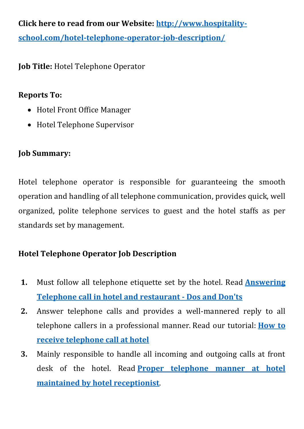**Click here to read from our Website: [http://www.hospitality](http://www.hospitality-school.com/hotel-telephone-operator-job-description/)[school.com/hotel-telephone-operator-job-description/](http://www.hospitality-school.com/hotel-telephone-operator-job-description/)**

**Job Title:** Hotel Telephone Operator

#### **Reports To:**

- Hotel Front Office Manager
- Hotel Telephone Supervisor

### **Job Summary:**

Hotel telephone operator is responsible for guaranteeing the smooth operation and handling of all telephone communication, provides quick, well organized, polite telephone services to guest and the hotel staffs as per standards set by management.

## **Hotel Telephone Operator Job Description**

- **1.** Must follow all telephone etiquette set by the hotel. Read **[Answering](http://www.hospitality-school.com/answerin-telephone-hotel-restaurant-techniques)  [Telephone call in hotel and restaurant -](http://www.hospitality-school.com/answerin-telephone-hotel-restaurant-techniques) Dos and Don'ts**
- **2.** Answer telephone calls and provides a well-mannered reply to all telephone callers in a professional manner. Read our tutorial: **[How to](http://www.hospitality-school.com/tips-for-receving-telephone-call-hotel)  [receive telephone call at hotel](http://www.hospitality-school.com/tips-for-receving-telephone-call-hotel)**
- **3.** Mainly responsible to handle all incoming and outgoing calls at front desk of the hotel. Read **[Proper telephone manner at hotel](http://www.hospitality-school.com/telephone-manner-hotel)  [maintained by hotel receptionist](http://www.hospitality-school.com/telephone-manner-hotel)**.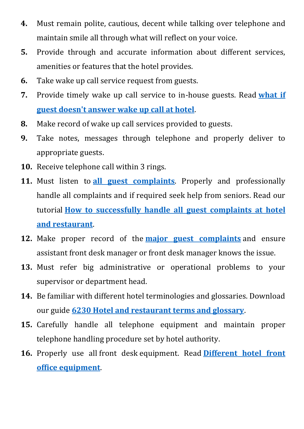- **4.** Must remain polite, cautious, decent while talking over telephone and maintain smile all through what will reflect on your voice.
- **5.** Provide through and accurate information about different services, amenities or features that the hotel provides.
- **6.** Take wake up call service request from guests.
- **7.** Provide timely wake up call service to in-house guests. Read **[what if](http://www.hospitality-school.com/if-guest-dont-answer-wake-up-calls)  [guest doesn't answer wake up call at hotel](http://www.hospitality-school.com/if-guest-dont-answer-wake-up-calls)**.
- **8.** Make record of wake up call services provided to guests.
- **9.** Take notes, messages through telephone and properly deliver to appropriate guests.
- **10.** Receive telephone call within 3 rings.
- **11.** Must listen to **[all guest complaints](http://www.hospitality-school.com/step-by-step-guest-complaint-handling-procedure-practical-training)**. Properly and professionally handle all complaints and if required seek help from seniors. Read our tutorial **[How to successfully handle all guest complaints at hotel](http://www.hospitality-school.com/handling-guest-complaint)  [and restaurant](http://www.hospitality-school.com/handling-guest-complaint)**.
- **12.** Make proper record of the **[major guest complaints](http://www.hospitality-school.com/step-by-step-guest-complaint-handling-procedure-practical-training)** and ensure assistant front desk manager or front desk manager knows the issue.
- **13.** Must refer big administrative or operational problems to your supervisor or department head.
- **14.** Be familiar with different hotel terminologies and glossaries. Download our guide **[6230 Hotel and restaurant terms and glossary](http://www.hospitality-school.com/training-manuals/hotel-terminology)**.
- **15.** Carefully handle all telephone equipment and maintain proper telephone handling procedure set by hotel authority.
- **16.** Properly use all front desk equipment. Read **[Different hotel front](http://www.hospitality-school.com/hotel-front-office-equipment)  [office equipment](http://www.hospitality-school.com/hotel-front-office-equipment)**.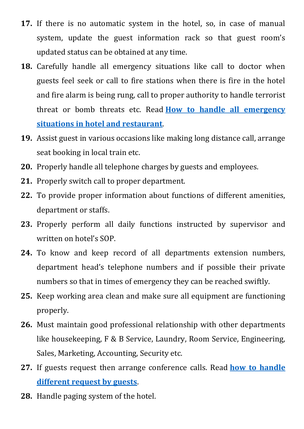- **17.** If there is no automatic system in the hotel, so, in case of manual system, update the guest information rack so that guest room's updated status can be obtained at any time.
- **18.** Carefully handle all emergency situations like call to doctor when guests feel seek or call to fire stations when there is fire in the hotel and fire alarm is being rung, call to proper authority to handle terrorist threat or bomb threats etc. Read **[How to handle all emergency](http://www.hospitality-school.com/how-handle-emergency-situation-hotel)  [situations in hotel and restaurant](http://www.hospitality-school.com/how-handle-emergency-situation-hotel)**.
- **19.** Assist guest in various occasions like making long distance call, arrange seat booking in local train etc.
- **20.** Properly handle all telephone charges by guests and employees.
- **21.** Properly switch call to proper department.
- **22.** To provide proper information about functions of different amenities, department or staffs.
- **23.** Properly perform all daily functions instructed by supervisor and written on hotel's SOP.
- **24.** To know and keep record of all departments extension numbers, department head's telephone numbers and if possible their private numbers so that in times of emergency they can be reached swiftly.
- **25.** Keep working area clean and make sure all equipment are functioning properly.
- **26.** Must maintain good professional relationship with other departments like housekeeping, F & B Service, Laundry, Room Service, Engineering, Sales, Marketing, Accounting, Security etc.
- **27.** If guests request then arrange conference calls. Read **[how to handle](http://www.hospitality-school.com/typical-telephone-requests-by-guests)  [different request by guests](http://www.hospitality-school.com/typical-telephone-requests-by-guests)**.
- **28.** Handle paging system of the hotel.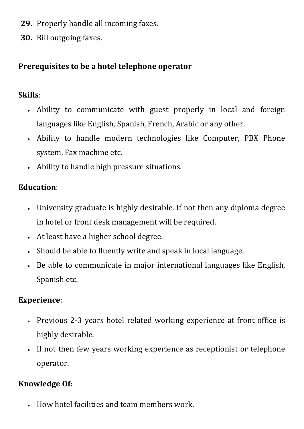- **29.** Properly handle all incoming faxes.
- **30.** Bill outgoing faxes.

### **Prerequisites to be a hotel telephone operator**

### **Skills**:

- Ability to communicate with guest properly in local and foreign languages like English, Spanish, French, Arabic or any other.
- Ability to handle modern technologies like Computer, PBX Phone system, Fax machine etc.
- Ability to handle high pressure situations.

# **Education**:

- University graduate is highly desirable. If not then any diploma degree in hotel or front desk management will be required.
- At least have a higher school degree.
- Should be able to fluently write and speak in local language.
- Be able to communicate in major international languages like English, Spanish etc.

## **Experience**:

- Previous 2-3 years hotel related working experience at front office is highly desirable.
- If not then few years working experience as receptionist or telephone operator.

## **Knowledge Of:**

How hotel facilities and team members work.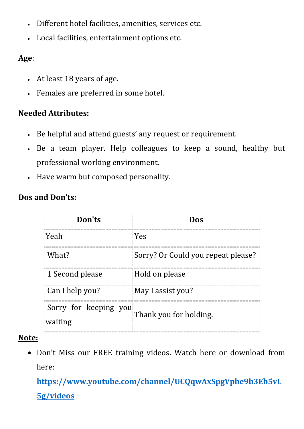- Different hotel facilities, amenities, services etc.
- Local facilities, entertainment options etc.

#### **Age**:

- At least 18 years of age.
- Females are preferred in some hotel.

### **Needed Attributes:**

- Be helpful and attend guests' any request or requirement.
- Be a team player. Help colleagues to keep a sound, healthy but professional working environment.
- Have warm but composed personality.

| Don'ts                           | Dos                                |
|----------------------------------|------------------------------------|
| Yeah                             | Yes                                |
| What?                            | Sorry? Or Could you repeat please? |
| 1 Second please                  | Hold on please                     |
| Can I help you?                  | May I assist you?                  |
| Sorry for keeping you<br>waiting | Thank you for holding.             |

### **Dos and Don'ts:**

#### **Note:**

 Don't Miss our FREE training videos. Watch here or download from here:

**[https://www.youtube.com/channel/UCQqwAxSpgVphe9b3Eb5vL](https://www.youtube.com/channel/UCQqwAxSpgVphe9b3Eb5vL5g/videos) [5g/videos](https://www.youtube.com/channel/UCQqwAxSpgVphe9b3Eb5vL5g/videos)**